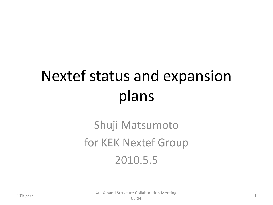# Nextef status and expansion plans

#### Shuji Matsumoto for KEK Nextef Group 2010.5.5

2010/5/5 1 4th X-band Structure Collaboration Meeting,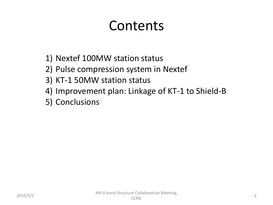#### Contents

- 1) Nextef 100MW station status
- 2) Pulse compression system in Nextef
- 3) KT-1 50MW station status
- 4) Improvement plan: Linkage of KT-1 to Shield-B
- 5) Conclusions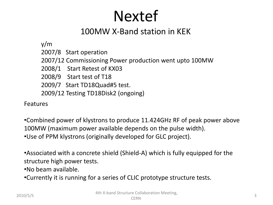#### Nextef

#### 100MW X-Band station in KEK

y/m

2007/8 Start operation

2007/12 Commissioning Power production went upto 100MW

2008/1 Start Retest of KX03

2008/9 Start test of T18

2009/7 Start TD18Quad#5 test.

2009/12 Testing TD18Disk2 (ongoing)

Features

•Combined power of klystrons to produce 11.424GHz RF of peak power above 100MW (maximum power available depends on the pulse width). •Use of PPM klystrons (originally developed for GLC project).

•Associated with a concrete shield (Shield-A) which is fully equipped for the structure high power tests.

•No beam available.

•Currently it is running for a series of CLIC prototype structure tests.

 $2010/5/5$  3 4th X-band Structure Collaboration Meeting,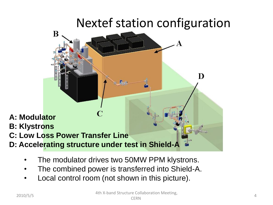#### Nextef station configuration



- The modulator drives two 50MW PPM klystrons.
- The combined power is transferred into Shield-A.
- Local control room (not shown in this picture).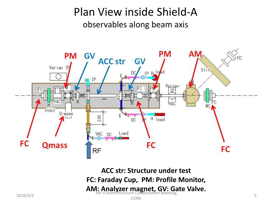#### Plan View inside Shield-A observables along beam axis



**ACC str: Structure under test FC: Faraday Cup, PM: Profile Monitor,**  AM: Analyzer magnet, GV: Gate Valve.<br>4th X-band Structure Collaboration Meeting,  $2010/5/5$  5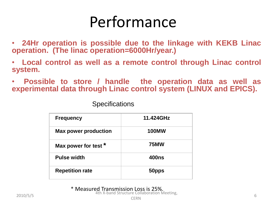#### Performance

• **24Hr operation is possible due to the linkage with KEKB Linac operation. (The linac operation=6000Hr/year.)**

• **Local control as well as a remote control through Linac control system.**

• **Possible to store / handle the operation data as well as experimental data through Linac control system (LINUX and EPICS).**

**Specifications** 

| <b>Frequency</b>            | 11.424GHz    |
|-----------------------------|--------------|
| <b>Max power production</b> | <b>100MW</b> |
| Max power for test *        | <b>75MW</b>  |
| <b>Pulse width</b>          | <b>400ns</b> |
| <b>Repetition rate</b>      | 50pps        |

\* Measured Transmission Loss is 25%. 2010/5/5 6 4th X-band Structure Collaboration Meeting,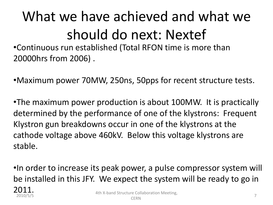# What we have achieved and what we should do next: Nextef

•Continuous run established (Total RFON time is more than 20000hrs from 2006) .

•Maximum power 70MW, 250ns, 50pps for recent structure tests.

•The maximum power production is about 100MW. It is practically determined by the performance of one of the klystrons: Frequent Klystron gun breakdowns occur in one of the klystrons at the cathode voltage above 460kV. Below this voltage klystrons are stable.

•In order to increase its peak power, a pulse compressor system will be installed in this JFY. We expect the system will be ready to go in

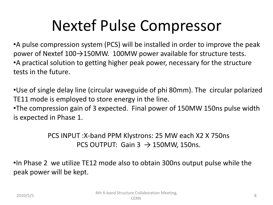### Nextef Pulse Compressor

•A pulse compression system (PCS) will be installed in order to improve the peak power of Nextef  $100 \rightarrow 150$ MW. 100MW power available for structure tests. •A practical solution to getting higher peak power, necessary for the structure tests in the future.

•Use of single delay line (circular waveguide of phi 80mm). The circular polarized TE11 mode is employed to store energy in the line.

•The compression gain of 3 expected. Final power of 150MW 150ns pulse width is expected in Phase 1.

> PCS INPUT :X-band PPM Klystrons: 25 MW each X2 X 750ns PCS OUTPUT: Gain 3  $\rightarrow$  150MW, 150ns.

•In Phase 2 we utilize TE12 mode also to obtain 300ns output pulse while the peak power will be kept.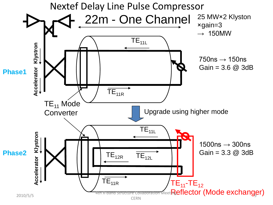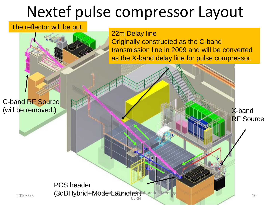#### Nextef pulse compressor Layout

#### The reflector will be put.



C-band RF Source (will be removed.)

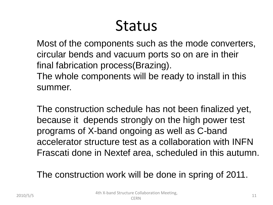#### Status

Most of the components such as the mode converters, circular bends and vacuum ports so on are in their final fabrication process(Brazing).

The whole components will be ready to install in this summer.

The construction schedule has not been finalized yet, because it depends strongly on the high power test programs of X-band ongoing as well as C-band accelerator structure test as a collaboration with INFN Frascati done in Nextef area, scheduled in this autumn.

The construction work will be done in spring of 2011.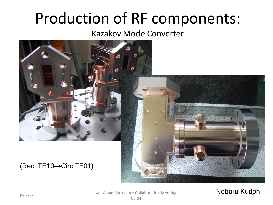### Production of RF components:

#### Kazakov Mode Converter



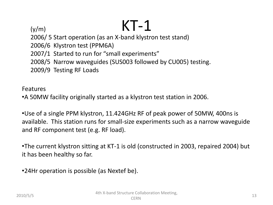$(y/m)$  KT-1 2006/ 5 Start operation (as an X-band klystron test stand) 2006/6 Klystron test (PPM6A) 2007/1 Started to run for "small experiments" 2008/5 Narrow waveguides (SUS003 followed by CU005) testing. 2009/9 Testing RF Loads

Features

•A 50MW facility originally started as a klystron test station in 2006.

•Use of a single PPM klystron, 11.424GHz RF of peak power of 50MW, 400ns is available. This station runs for small-size experiments such as a narrow waveguide and RF component test (e.g. RF load).

•The current klystron sitting at KT-1 is old (constructed in 2003, repaired 2004) but it has been healthy so far.

•24Hr operation is possible (as Nextef be).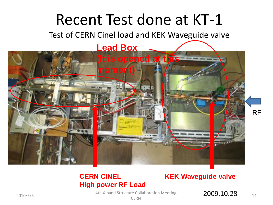#### Recent Test done at KT-1

Test of CERN Cinel load and KEK Waveguide valve



#### **CERN CINEL High power RF Load**

#### **KEK Waveguide valve**

2010/5/5  $\frac{4 \text{th X-band Structure Collaboration Meeting}}{2010/5/5}$   $\frac{2009.10.28}{14}$ 

**CERN**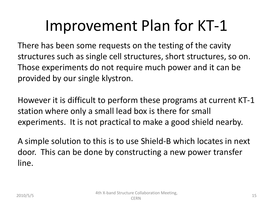### Improvement Plan for KT-1

There has been some requests on the testing of the cavity structures such as single cell structures, short structures, so on. Those experiments do not require much power and it can be provided by our single klystron.

However it is difficult to perform these programs at current KT-1 station where only a small lead box is there for small experiments. It is not practical to make a good shield nearby.

A simple solution to this is to use Shield-B which locates in next door. This can be done by constructing a new power transfer line.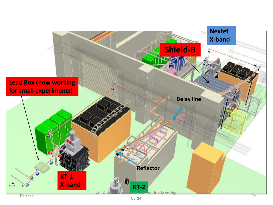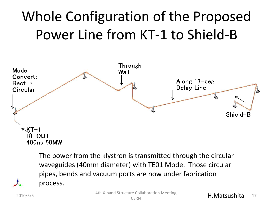### Whole Configuration of the Proposed Power Line from KT-1 to Shield-B



The power from the klystron is transmitted through the circular waveguides (40mm diameter) with TE01 Mode. Those circular pipes, bends and vacuum ports are now under fabrication process.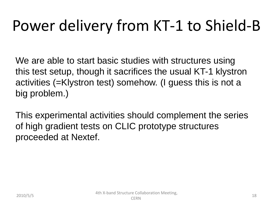# Power delivery from KT-1 to Shield-B

We are able to start basic studies with structures using this test setup, though it sacrifices the usual KT-1 klystron activities (=Klystron test) somehow. (I guess this is not a big problem.)

This experimental activities should complement the series of high gradient tests on CLIC prototype structures proceeded at Nextef.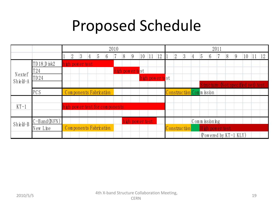## Proposed Schedule

|                     |                        |                        |                |   |                 |                 |  |      |                                |    |                 |                 |  | 2011            |            |   |                |                 |                          |                  |                 |    |                       |                                                         |  |  |  |
|---------------------|------------------------|------------------------|----------------|---|-----------------|-----------------|--|------|--------------------------------|----|-----------------|-----------------|--|-----------------|------------|---|----------------|-----------------|--------------------------|------------------|-----------------|----|-----------------------|---------------------------------------------------------|--|--|--|
|                     |                        | 2                      | $\overline{3}$ | 4 | 5               | $6\overline{6}$ |  | 8    | 9                              | 10 | 11              | 12              |  | $\overline{2}$  | $\sqrt{3}$ | 4 | $\overline{5}$ | $6\phantom{.}6$ |                          | 8                | $\overline{9}$  | 10 |                       | $ 12\rangle$                                            |  |  |  |
| TD18 Disk2          |                        |                        |                |   |                 |                 |  |      |                                |    |                 |                 |  |                 |            |   |                |                 |                          |                  |                 |    |                       |                                                         |  |  |  |
| T <sub>24</sub>     |                        |                        |                |   |                 |                 |  |      |                                |    |                 |                 |  |                 |            |   |                |                 |                          |                  |                 |    |                       |                                                         |  |  |  |
| TD 24               |                        |                        |                |   |                 |                 |  |      |                                |    |                 |                 |  |                 |            |   |                |                 |                          |                  |                 |    |                       |                                                         |  |  |  |
|                     |                        |                        |                |   |                 |                 |  |      |                                |    |                 |                 |  |                 |            |   |                |                 |                          |                  |                 |    |                       |                                                         |  |  |  |
| PCS                 |                        | Components Fabrication |                |   |                 |                 |  |      |                                |    |                 |                 |  |                 |            |   |                |                 |                          |                  |                 |    |                       |                                                         |  |  |  |
|                     |                        |                        |                |   |                 |                 |  |      |                                |    |                 |                 |  |                 |            |   |                |                 |                          |                  |                 |    |                       |                                                         |  |  |  |
|                     |                        |                        |                |   |                 |                 |  |      |                                |    |                 |                 |  |                 |            |   |                |                 |                          |                  |                 |    |                       |                                                         |  |  |  |
|                     |                        |                        |                |   |                 |                 |  |      |                                |    |                 |                 |  |                 |            |   |                |                 |                          |                  |                 |    |                       |                                                         |  |  |  |
| $C - B$ and $(NFN)$ |                        |                        |                |   |                 |                 |  |      |                                |    |                 |                 |  |                 |            |   |                |                 |                          |                  |                 |    |                       |                                                         |  |  |  |
| New Line            | Components Fabrication |                        |                |   |                 |                 |  |      |                                |    |                 |                 |  |                 |            |   |                |                 |                          |                  |                 |    |                       |                                                         |  |  |  |
|                     |                        |                        |                |   |                 |                 |  |      |                                |    |                 |                 |  |                 |            |   |                |                 |                          |                  |                 |    |                       |                                                         |  |  |  |
|                     |                        |                        |                |   | high power test |                 |  | 2010 | high power test for components |    | high power test | high power test |  | high power test |            |   | Construction   |                 | Construction Comm ission | $Comm$ issioning | High power test |    | (Powered by KT-1 KLY) | Proposed Schedule<br>Structure (Not specified yet) test |  |  |  |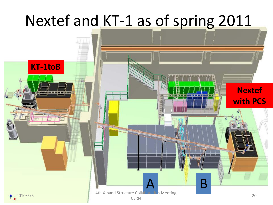#### Nextef and KT-1 as of spring 2011